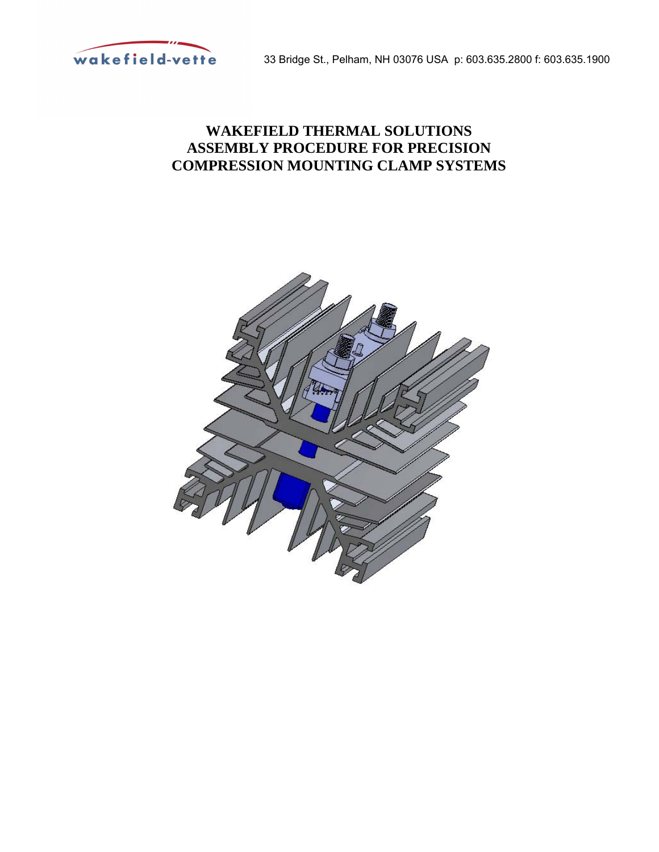

33 Bridge St., Pelham, NH 03076 USA p: 603.635.2800 f: 603.635.1900

## **WAKEFIELD THERMAL SOLUTIONS ASSEMBLY PROCEDURE FOR PRECISION COMPRESSION MOUNTING CLAMP SYSTEMS**

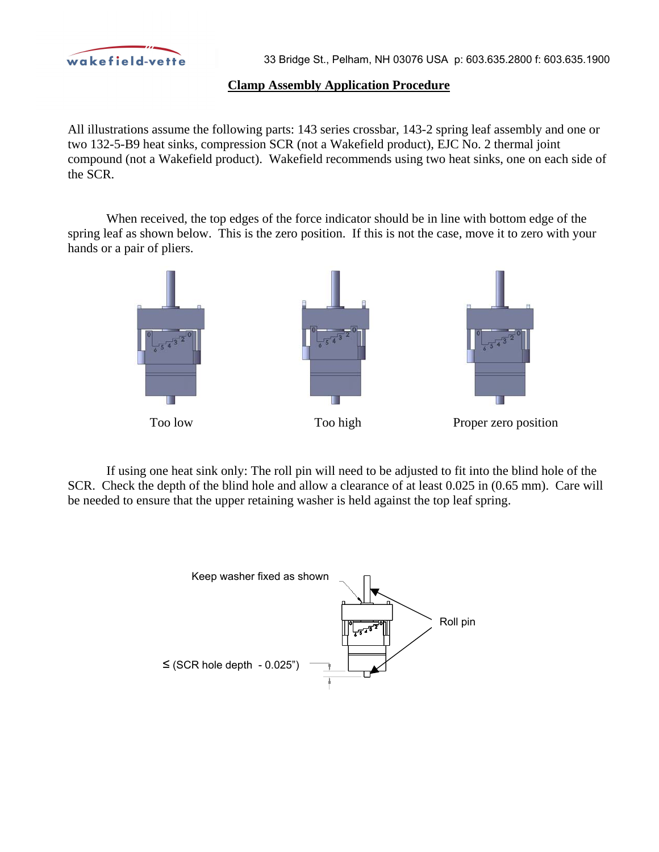

## **Clamp Assembly Application Procedure**

All illustrations assume the following parts: 143 series crossbar, 143-2 spring leaf assembly and one or two 132-5-B9 heat sinks, compression SCR (not a Wakefield product), EJC No. 2 thermal joint compound (not a Wakefield product). Wakefield recommends using two heat sinks, one on each side of the SCR.

When received, the top edges of the force indicator should be in line with bottom edge of the spring leaf as shown below. This is the zero position. If this is not the case, move it to zero with your hands or a pair of pliers.



If using one heat sink only: The roll pin will need to be adjusted to fit into the blind hole of the SCR. Check the depth of the blind hole and allow a clearance of at least 0.025 in (0.65 mm). Care will be needed to ensure that the upper retaining washer is held against the top leaf spring.

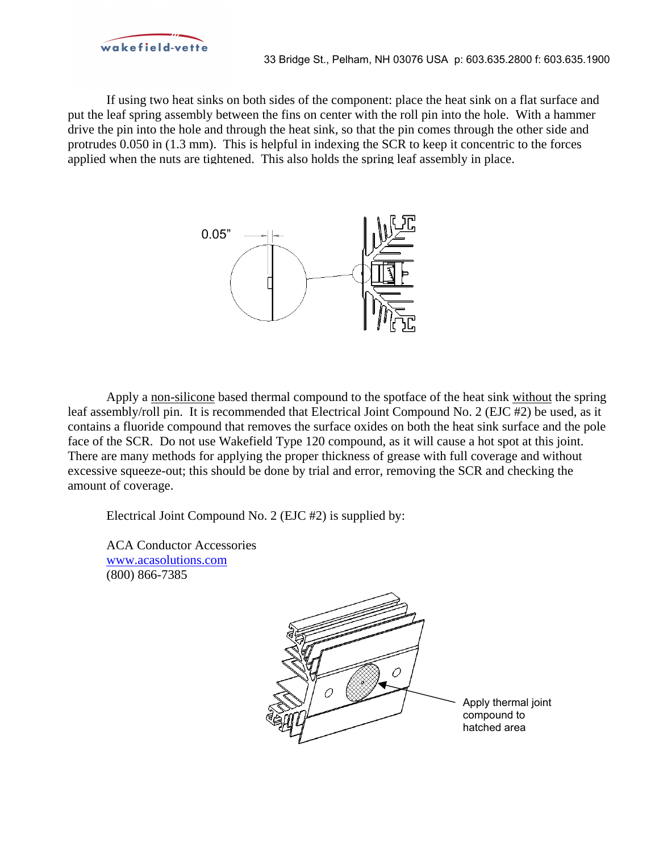

33 Bridge St., Pelham, NH 03076 USA p: 603.635.2800 f: 603.635.1900

If using two heat sinks on both sides of the component: place the heat sink on a flat surface and put the leaf spring assembly between the fins on center with the roll pin into the hole. With a hammer drive the pin into the hole and through the heat sink, so that the pin comes through the other side and protrudes 0.050 in (1.3 mm). This is helpful in indexing the SCR to keep it concentric to the forces applied when the nuts are tightened. This also holds the spring leaf assembly in place.



Apply a non-silicone based thermal compound to the spotface of the heat sink without the spring leaf assembly/roll pin. It is recommended that Electrical Joint Compound No. 2 (EJC #2) be used, as it contains a fluoride compound that removes the surface oxides on both the heat sink surface and the pole face of the SCR. Do not use Wakefield Type 120 compound, as it will cause a hot spot at this joint. There are many methods for applying the proper thickness of grease with full coverage and without excessive squeeze-out; this should be done by trial and error, removing the SCR and checking the amount of coverage.

Electrical Joint Compound No. 2 (EJC #2) is supplied by:

ACA Conductor Accessories www.acasolutions.com (800) 866-7385

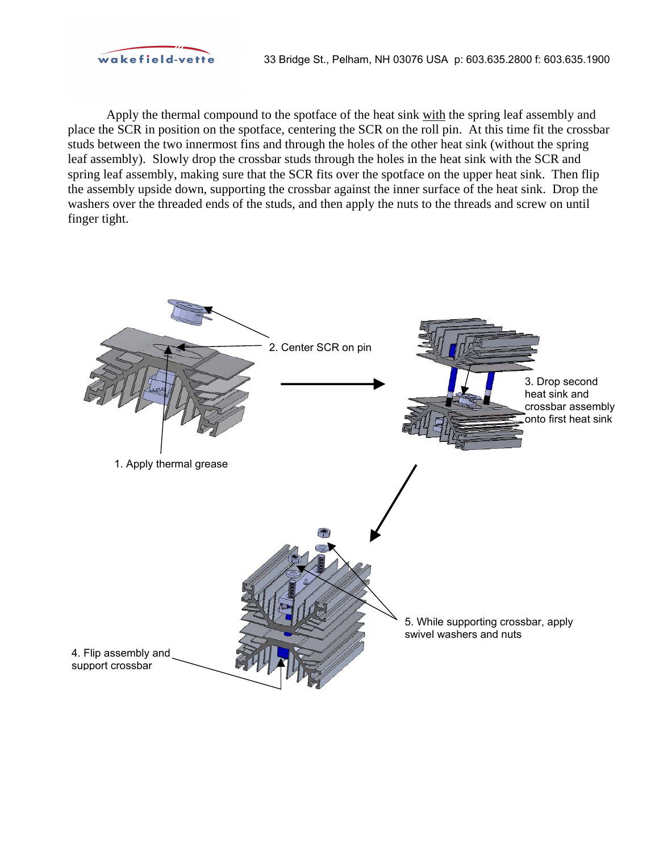

Apply the thermal compound to the spotface of the heat sink with the spring leaf assembly and place the SCR in position on the spotface, centering the SCR on the roll pin. At this time fit the crossbar studs between the two innermost fins and through the holes of the other heat sink (without the spring leaf assembly). Slowly drop the crossbar studs through the holes in the heat sink with the SCR and spring leaf assembly, making sure that the SCR fits over the spotface on the upper heat sink. Then flip the assembly upside down, supporting the crossbar against the inner surface of the heat sink. Drop the washers over the threaded ends of the studs, and then apply the nuts to the threads and screw on until finger tight.